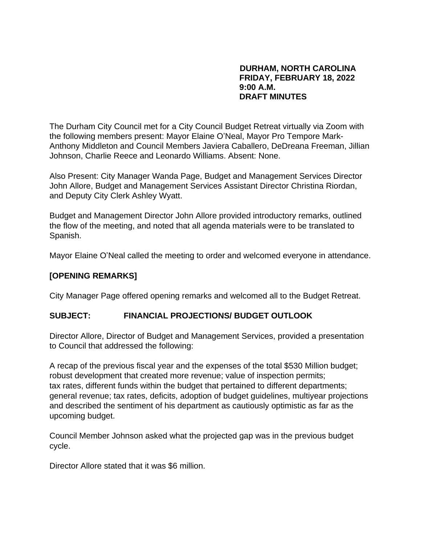#### **DURHAM, NORTH CAROLINA FRIDAY, FEBRUARY 18, 2022 9:00 A.M. DRAFT MINUTES**

The Durham City Council met for a City Council Budget Retreat virtually via Zoom with the following members present: Mayor Elaine O'Neal, Mayor Pro Tempore Mark-Anthony Middleton and Council Members Javiera Caballero, DeDreana Freeman, Jillian Johnson, Charlie Reece and Leonardo Williams. Absent: None.

Also Present: City Manager Wanda Page, Budget and Management Services Director John Allore, Budget and Management Services Assistant Director Christina Riordan, and Deputy City Clerk Ashley Wyatt.

Budget and Management Director John Allore provided introductory remarks, outlined the flow of the meeting, and noted that all agenda materials were to be translated to Spanish.

Mayor Elaine O'Neal called the meeting to order and welcomed everyone in attendance.

### **[OPENING REMARKS]**

City Manager Page offered opening remarks and welcomed all to the Budget Retreat.

### **SUBJECT: FINANCIAL PROJECTIONS/ BUDGET OUTLOOK**

Director Allore, Director of Budget and Management Services, provided a presentation to Council that addressed the following:

A recap of the previous fiscal year and the expenses of the total \$530 Million budget; robust development that created more revenue; value of inspection permits; tax rates, different funds within the budget that pertained to different departments; general revenue; tax rates, deficits, adoption of budget guidelines, multiyear projections and described the sentiment of his department as cautiously optimistic as far as the upcoming budget.

Council Member Johnson asked what the projected gap was in the previous budget cycle.

Director Allore stated that it was \$6 million.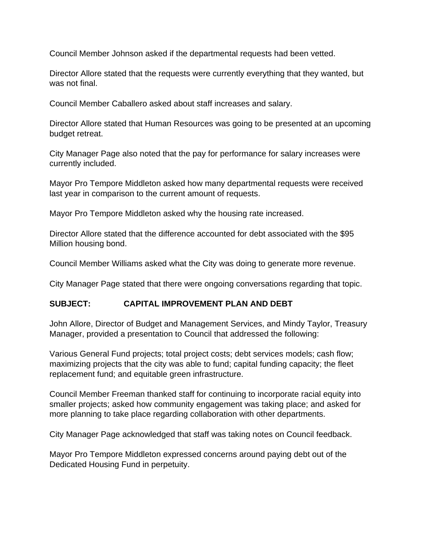Council Member Johnson asked if the departmental requests had been vetted.

Director Allore stated that the requests were currently everything that they wanted, but was not final.

Council Member Caballero asked about staff increases and salary.

Director Allore stated that Human Resources was going to be presented at an upcoming budget retreat.

City Manager Page also noted that the pay for performance for salary increases were currently included.

Mayor Pro Tempore Middleton asked how many departmental requests were received last year in comparison to the current amount of requests.

Mayor Pro Tempore Middleton asked why the housing rate increased.

Director Allore stated that the difference accounted for debt associated with the \$95 Million housing bond.

Council Member Williams asked what the City was doing to generate more revenue.

City Manager Page stated that there were ongoing conversations regarding that topic.

## **SUBJECT: CAPITAL IMPROVEMENT PLAN AND DEBT**

John Allore, Director of Budget and Management Services, and Mindy Taylor, Treasury Manager, provided a presentation to Council that addressed the following:

Various General Fund projects; total project costs; debt services models; cash flow; maximizing projects that the city was able to fund; capital funding capacity; the fleet replacement fund; and equitable green infrastructure.

Council Member Freeman thanked staff for continuing to incorporate racial equity into smaller projects; asked how community engagement was taking place; and asked for more planning to take place regarding collaboration with other departments.

City Manager Page acknowledged that staff was taking notes on Council feedback.

Mayor Pro Tempore Middleton expressed concerns around paying debt out of the Dedicated Housing Fund in perpetuity.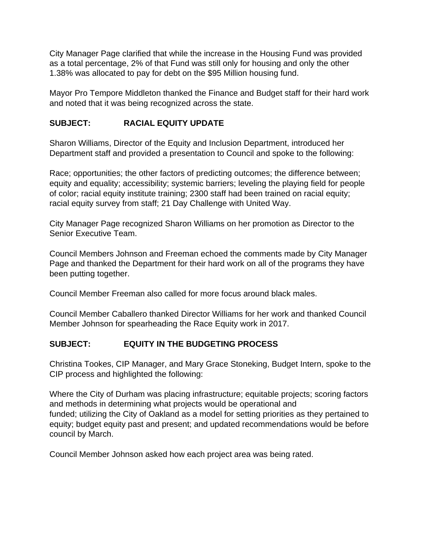City Manager Page clarified that while the increase in the Housing Fund was provided as a total percentage, 2% of that Fund was still only for housing and only the other 1.38% was allocated to pay for debt on the \$95 Million housing fund.

Mayor Pro Tempore Middleton thanked the Finance and Budget staff for their hard work and noted that it was being recognized across the state.

## **SUBJECT: RACIAL EQUITY UPDATE**

Sharon Williams, Director of the Equity and Inclusion Department, introduced her Department staff and provided a presentation to Council and spoke to the following:

Race; opportunities; the other factors of predicting outcomes; the difference between; equity and equality; accessibility; systemic barriers; leveling the playing field for people of color; racial equity institute training; 2300 staff had been trained on racial equity; racial equity survey from staff; 21 Day Challenge with United Way.

City Manager Page recognized Sharon Williams on her promotion as Director to the Senior Executive Team.

Council Members Johnson and Freeman echoed the comments made by City Manager Page and thanked the Department for their hard work on all of the programs they have been putting together.

Council Member Freeman also called for more focus around black males.

Council Member Caballero thanked Director Williams for her work and thanked Council Member Johnson for spearheading the Race Equity work in 2017.

# **SUBJECT: EQUITY IN THE BUDGETING PROCESS**

Christina Tookes, CIP Manager, and Mary Grace Stoneking, Budget Intern, spoke to the CIP process and highlighted the following:

Where the City of Durham was placing infrastructure; equitable projects; scoring factors and methods in determining what projects would be operational and funded; utilizing the City of Oakland as a model for setting priorities as they pertained to equity; budget equity past and present; and updated recommendations would be before council by March.

Council Member Johnson asked how each project area was being rated.